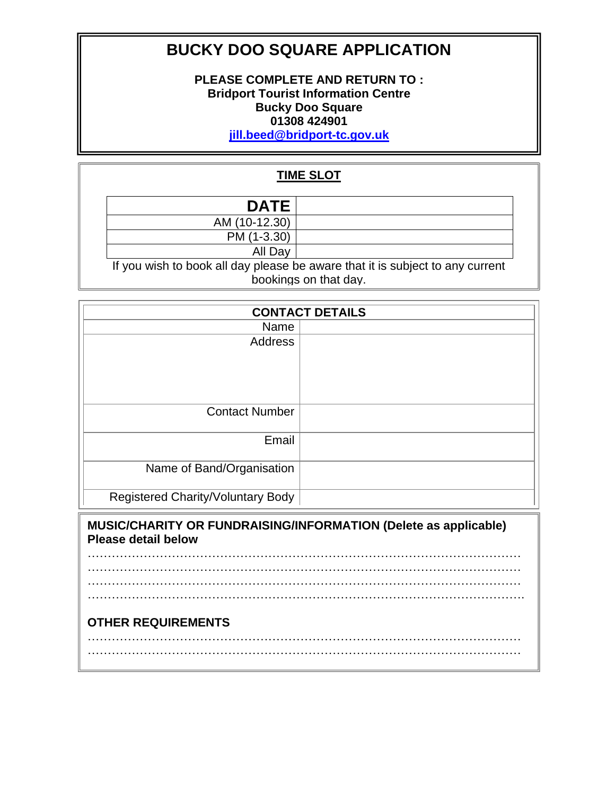# **BUCKY DOO SQUARE APPLICATION**

## **PLEASE COMPLETE AND RETURN TO : Bridport Tourist Information Centre Bucky Doo Square 01308 424901 [jill.beed@bridport-tc.gov.uk](mailto:asparks@bridport-tc.gov.uk)**

## **TIME SLOT**

| <b>DATE</b>   |                                                                                                                 |
|---------------|-----------------------------------------------------------------------------------------------------------------|
| AM (10-12.30) |                                                                                                                 |
| PM (1-3.30)   |                                                                                                                 |
| All Day       |                                                                                                                 |
|               | the contract of the contract of the contract of the contract of the contract of the contract of the contract of |

If you wish to book all day please be aware that it is subject to any current bookings on that day.

| <b>CONTACT DETAILS</b>            |  |
|-----------------------------------|--|
| Name                              |  |
| Address                           |  |
| <b>Contact Number</b>             |  |
| Email                             |  |
| Name of Band/Organisation         |  |
| Registered Charity/Voluntary Body |  |

**MUSIC/CHARITY OR FUNDRAISING/INFORMATION (Delete as applicable) Please detail below** 

……………………………………………………………………………………………… ……………………………………………………………………………………………… ……………………………………………………………………………………………… ………………………………………………………………………………………………. **OTHER REQUIREMENTS** ……………………………………………………………………………………………… ………………………………………………………………………………………………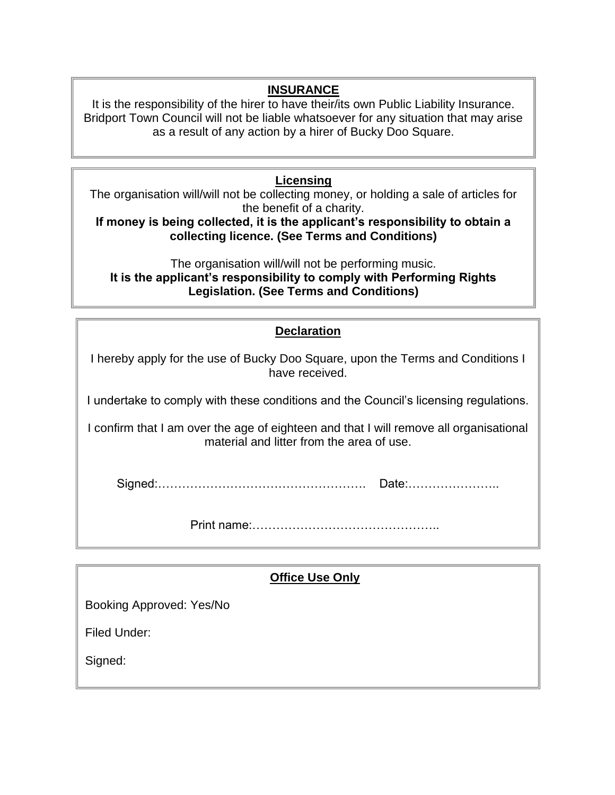## **INSURANCE**

It is the responsibility of the hirer to have their/its own Public Liability Insurance. Bridport Town Council will not be liable whatsoever for any situation that may arise as a result of any action by a hirer of Bucky Doo Square.

## **Licensing**

The organisation will/will not be collecting money, or holding a sale of articles for the benefit of a charity.

## **If money is being collected, it is the applicant's responsibility to obtain a collecting licence. (See Terms and Conditions)**

The organisation will/will not be performing music. **It is the applicant's responsibility to comply with Performing Rights Legislation. (See Terms and Conditions)**

## **Declaration**

I hereby apply for the use of Bucky Doo Square, upon the Terms and Conditions I have received.

I undertake to comply with these conditions and the Council's licensing regulations.

I confirm that I am over the age of eighteen and that I will remove all organisational material and litter from the area of use.

Signed:……………………………………………. Date:…………………..

Print name:………………………………………..

## **Office Use Only**

Booking Approved: Yes/No

Filed Under:

Signed: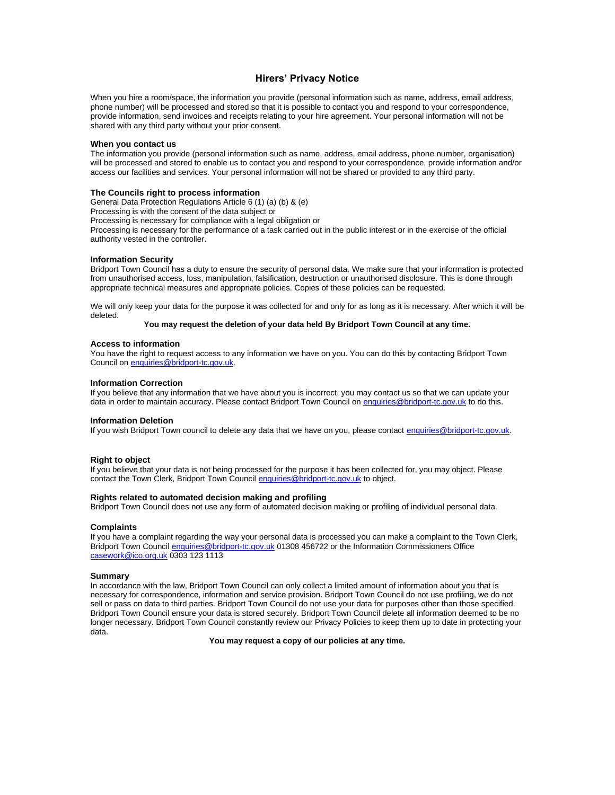### **Hirers' Privacy Notice**

When you hire a room/space, the information you provide (personal information such as name, address, email address, phone number) will be processed and stored so that it is possible to contact you and respond to your correspondence, provide information, send invoices and receipts relating to your hire agreement. Your personal information will not be shared with any third party without your prior consent.

#### **When you contact us**

The information you provide (personal information such as name, address, email address, phone number, organisation) will be processed and stored to enable us to contact you and respond to your correspondence, provide information and/or access our facilities and services. Your personal information will not be shared or provided to any third party.

#### **The Councils right to process information**

General Data Protection Regulations Article 6 (1) (a) (b) & (e) Processing is with the consent of the data subject or Processing is necessary for compliance with a legal obligation or Processing is necessary for the performance of a task carried out in the public interest or in the exercise of the official authority vested in the controller.

#### **Information Security**

Bridport Town Council has a duty to ensure the security of personal data. We make sure that your information is protected from unauthorised access, loss, manipulation, falsification, destruction or unauthorised disclosure. This is done through appropriate technical measures and appropriate policies. Copies of these policies can be requested.

We will only keep your data for the purpose it was collected for and only for as long as it is necessary. After which it will be deleted.

#### **You may request the deletion of your data held By Bridport Town Council at any time.**

#### **Access to information**

You have the right to request access to any information we have on you. You can do this by contacting Bridport Town Council on [enquiries@bridport-tc.gov.uk.](mailto:enquiries@bridport-tc.gov.uk)

#### **Information Correction**

If you believe that any information that we have about you is incorrect, you may contact us so that we can update your data in order to maintain accuracy. Please contact Bridport Town Council o[n enquiries@bridport-tc.gov.uk](mailto:enquiries@bridport-tc.gov.uk) to do this.

#### **Information Deletion**

If you wish Bridport Town council to delete any data that we have on you, please contact [enquiries@bridport-tc.gov.uk.](mailto:enquiries@bridport-tc.gov.uk)

#### **Right to object**

If you believe that your data is not being processed for the purpose it has been collected for, you may object. Please contact the Town Clerk, Bridport Town Counci[l enquiries@bridport-tc.gov.uk](mailto:enquiries@bridport-tc.gov.uk) to object.

#### **Rights related to automated decision making and profiling**

Bridport Town Council does not use any form of automated decision making or profiling of individual personal data.

#### **Complaints**

If you have a complaint regarding the way your personal data is processed you can make a complaint to the Town Clerk, Bridport Town Council [enquiries@bridport-tc.gov.uk](mailto:enquiries@bridport-tc.gov.uk) 01308 456722 or the Information Commissioners Office [casework@ico.org.uk](mailto:casework@ico.org.uk) 0303 123 1113

#### **Summary**

In accordance with the law, Bridport Town Council can only collect a limited amount of information about you that is necessary for correspondence, information and service provision. Bridport Town Council do not use profiling, we do not sell or pass on data to third parties. Bridport Town Council do not use your data for purposes other than those specified. Bridport Town Council ensure your data is stored securely. Bridport Town Council delete all information deemed to be no longer necessary. Bridport Town Council constantly review our Privacy Policies to keep them up to date in protecting your data.

**You may request a copy of our policies at any time.**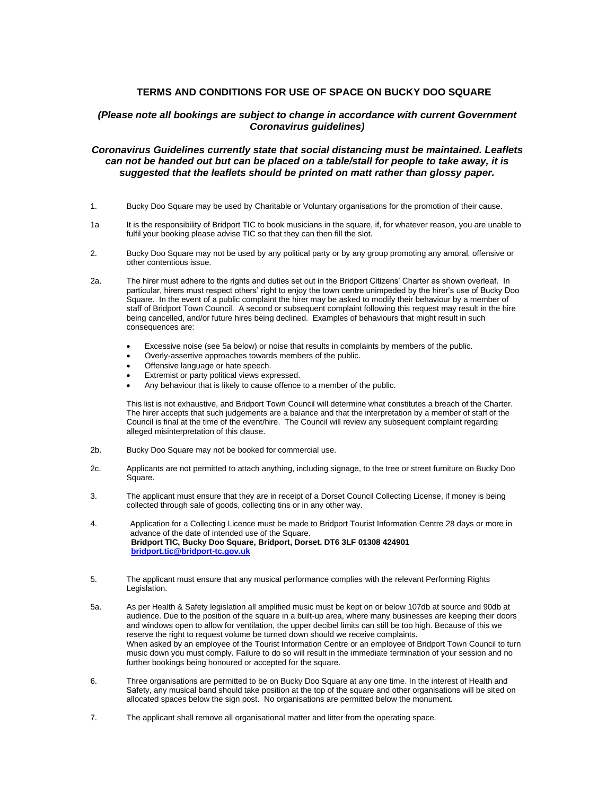## **TERMS AND CONDITIONS FOR USE OF SPACE ON BUCKY DOO SQUARE**

## *(Please note all bookings are subject to change in accordance with current Government Coronavirus guidelines)*

### *Coronavirus Guidelines currently state that social distancing must be maintained. Leaflets can not be handed out but can be placed on a table/stall for people to take away, it is suggested that the leaflets should be printed on matt rather than glossy paper.*

- 1. Bucky Doo Square may be used by Charitable or Voluntary organisations for the promotion of their cause.
- 1a It is the responsibility of Bridport TIC to book musicians in the square, if, for whatever reason, you are unable to fulfil your booking please advise TIC so that they can then fill the slot.
- 2. Bucky Doo Square may not be used by any political party or by any group promoting any amoral, offensive or other contentious issue.
- 2a. The hirer must adhere to the rights and duties set out in the Bridport Citizens' Charter as shown overleaf. In particular, hirers must respect others' right to enjoy the town centre unimpeded by the hirer's use of Bucky Doo Square. In the event of a public complaint the hirer may be asked to modify their behaviour by a member of staff of Bridport Town Council. A second or subsequent complaint following this request may result in the hire being cancelled, and/or future hires being declined. Examples of behaviours that might result in such consequences are:
	- Excessive noise (see 5a below) or noise that results in complaints by members of the public.
	- Overly-assertive approaches towards members of the public.
	- Offensive language or hate speech.
	- Extremist or party political views expressed.
	- Any behaviour that is likely to cause offence to a member of the public.

This list is not exhaustive, and Bridport Town Council will determine what constitutes a breach of the Charter. The hirer accepts that such judgements are a balance and that the interpretation by a member of staff of the Council is final at the time of the event/hire. The Council will review any subsequent complaint regarding alleged misinterpretation of this clause.

- 2b. Bucky Doo Square may not be booked for commercial use.
- 2c. Applicants are not permitted to attach anything, including signage, to the tree or street furniture on Bucky Doo Square.
- 3. The applicant must ensure that they are in receipt of a Dorset Council Collecting License, if money is being collected through sale of goods, collecting tins or in any other way.
- 4. Application for a Collecting Licence must be made to Bridport Tourist Information Centre 28 days or more in advance of the date of intended use of the Square.  **Bridport TIC, Bucky Doo Square, Bridport, Dorset. DT6 3LF 01308 424901 [bridport.tic@bridport-tc.gov.uk](mailto:bridport.tic@bridport-tc.gov.uk)**
- 5. The applicant must ensure that any musical performance complies with the relevant Performing Rights Legislation.
- 5a. As per Health & Safety legislation all amplified music must be kept on or below 107db at source and 90db at audience. Due to the position of the square in a built-up area, where many businesses are keeping their doors and windows open to allow for ventilation, the upper decibel limits can still be too high. Because of this we reserve the right to request volume be turned down should we receive complaints. When asked by an employee of the Tourist Information Centre or an employee of Bridport Town Council to turn music down you must comply. Failure to do so will result in the immediate termination of your session and no further bookings being honoured or accepted for the square.
- 6. Three organisations are permitted to be on Bucky Doo Square at any one time. In the interest of Health and Safety, any musical band should take position at the top of the square and other organisations will be sited on allocated spaces below the sign post. No organisations are permitted below the monument.
- 7. The applicant shall remove all organisational matter and litter from the operating space.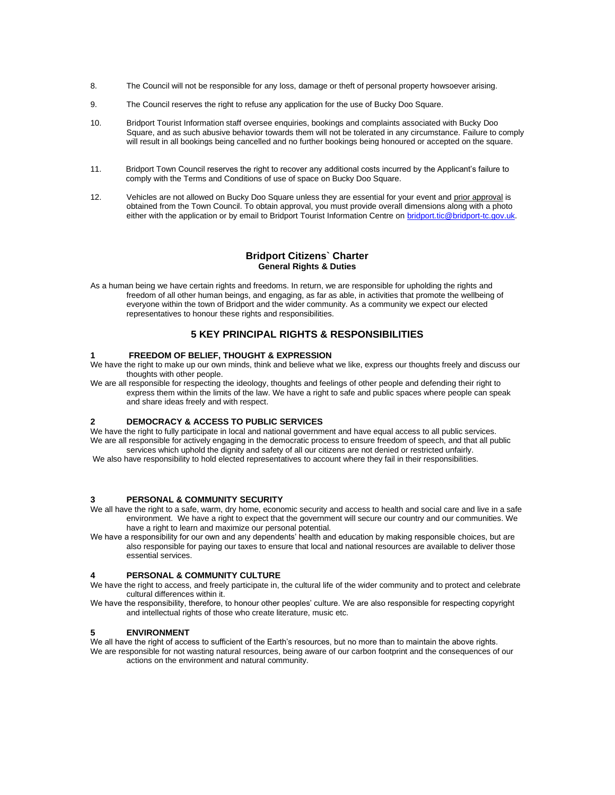- 8. The Council will not be responsible for any loss, damage or theft of personal property howsoever arising.
- 9. The Council reserves the right to refuse any application for the use of Bucky Doo Square.
- 10. Bridport Tourist Information staff oversee enquiries, bookings and complaints associated with Bucky Doo Square, and as such abusive behavior towards them will not be tolerated in any circumstance. Failure to comply will result in all bookings being cancelled and no further bookings being honoured or accepted on the square.
- 11. Bridport Town Council reserves the right to recover any additional costs incurred by the Applicant's failure to comply with the Terms and Conditions of use of space on Bucky Doo Square.
- 12. Vehicles are not allowed on Bucky Doo Square unless they are essential for your event and prior approval is obtained from the Town Council. To obtain approval, you must provide overall dimensions along with a photo either with the application or by email to Bridport Tourist Information Centre o[n bridport.tic@bridport-tc.gov.uk.](mailto:bridport.tic@bridport-tc.gov.uk)

### **Bridport Citizens` Charter General Rights & Duties**

As a human being we have certain rights and freedoms. In return, we are responsible for upholding the rights and freedom of all other human beings, and engaging, as far as able, in activities that promote the wellbeing of everyone within the town of Bridport and the wider community. As a community we expect our elected representatives to honour these rights and responsibilities.

### **5 KEY PRINCIPAL RIGHTS & RESPONSIBILITIES**

### **1 FREEDOM OF BELIEF, THOUGHT & EXPRESSION**

We have the right to make up our own minds, think and believe what we like, express our thoughts freely and discuss our thoughts with other people.

We are all responsible for respecting the ideology, thoughts and feelings of other people and defending their right to express them within the limits of the law. We have a right to safe and public spaces where people can speak and share ideas freely and with respect.

### **2 DEMOCRACY & ACCESS TO PUBLIC SERVICES**

We have the right to fully participate in local and national government and have equal access to all public services. We are all responsible for actively engaging in the democratic process to ensure freedom of speech, and that all public services which uphold the dignity and safety of all our citizens are not denied or restricted unfairly.

We also have responsibility to hold elected representatives to account where they fail in their responsibilities.

#### **3 PERSONAL & COMMUNITY SECURITY**

We all have the right to a safe, warm, dry home, economic security and access to health and social care and live in a safe environment. We have a right to expect that the government will secure our country and our communities. We have a right to learn and maximize our personal potential.

We have a responsibility for our own and any dependents' health and education by making responsible choices, but are also responsible for paying our taxes to ensure that local and national resources are available to deliver those essential services.

### **4 PERSONAL & COMMUNITY CULTURE**

We have the right to access, and freely participate in, the cultural life of the wider community and to protect and celebrate cultural differences within it.

We have the responsibility, therefore, to honour other peoples' culture. We are also responsible for respecting copyright and intellectual rights of those who create literature, music etc.

#### **5 ENVIRONMENT**

We all have the right of access to sufficient of the Earth's resources, but no more than to maintain the above rights. We are responsible for not wasting natural resources, being aware of our carbon footprint and the consequences of our actions on the environment and natural community.